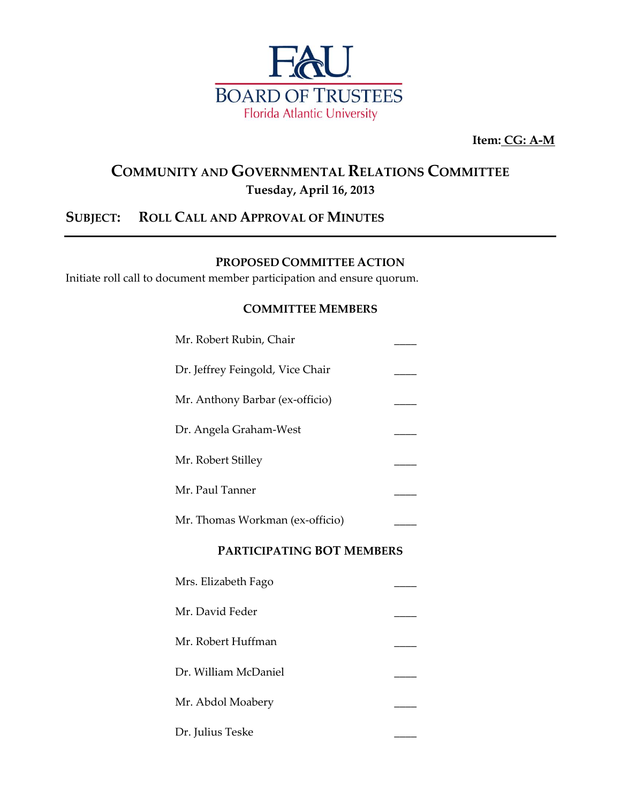

**Item: CG: A-M**

# **COMMUNITY AND GOVERNMENTAL RELATIONS COMMITTEE Tuesday, April 16, 2013**

# **SUBJECT: ROLL CALL AND APPROVAL OF MINUTES**

### **PROPOSED COMMITTEE ACTION**

Initiate roll call to document member participation and ensure quorum.

#### **COMMITTEE MEMBERS**

| Mr. Robert Rubin, Chair          |  |
|----------------------------------|--|
| Dr. Jeffrey Feingold, Vice Chair |  |
| Mr. Anthony Barbar (ex-officio)  |  |
| Dr. Angela Graham-West           |  |
| Mr. Robert Stilley               |  |
| Mr. Paul Tanner                  |  |
| Mr. Thomas Workman (ex-officio)  |  |
| PARTICIPATING BOT MEMBERS        |  |
| Mrs. Elizabeth Fago              |  |
| Mr. David Feder                  |  |
| Mr. Robert Huffman               |  |
| Dr. William McDaniel             |  |
| Mr. Abdol Moabery                |  |

Dr. Julius Teske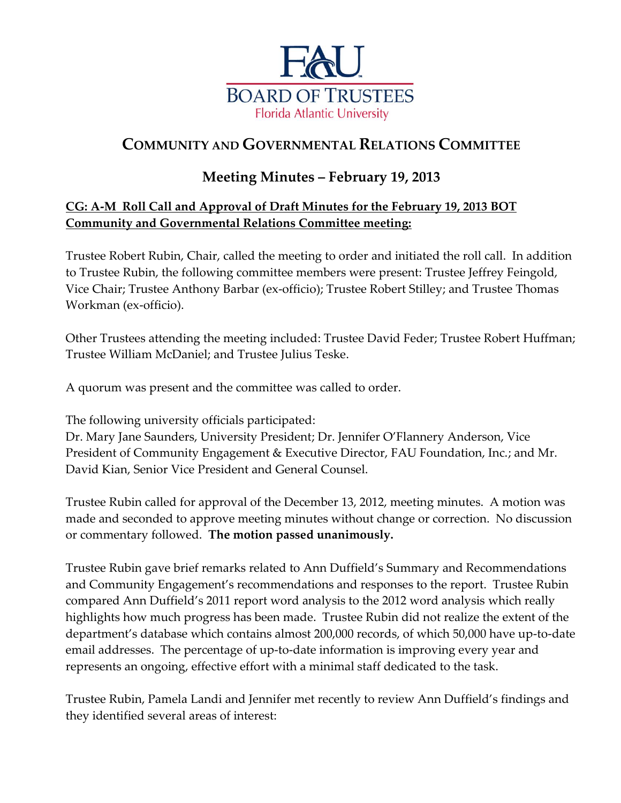

# **COMMUNITY AND GOVERNMENTAL RELATIONS COMMITTEE**

# **Meeting Minutes – February 19, 2013**

# **CG: A-M Roll Call and Approval of Draft Minutes for the February 19, 2013 BOT Community and Governmental Relations Committee meeting:**

Trustee Robert Rubin, Chair, called the meeting to order and initiated the roll call. In addition to Trustee Rubin, the following committee members were present: Trustee Jeffrey Feingold, Vice Chair; Trustee Anthony Barbar (ex-officio); Trustee Robert Stilley; and Trustee Thomas Workman (ex-officio).

Other Trustees attending the meeting included: Trustee David Feder; Trustee Robert Huffman; Trustee William McDaniel; and Trustee Julius Teske.

A quorum was present and the committee was called to order.

The following university officials participated:

Dr. Mary Jane Saunders, University President; Dr. Jennifer O'Flannery Anderson, Vice President of Community Engagement & Executive Director, FAU Foundation, Inc.; and Mr. David Kian, Senior Vice President and General Counsel.

Trustee Rubin called for approval of the December 13, 2012, meeting minutes. A motion was made and seconded to approve meeting minutes without change or correction. No discussion or commentary followed. **The motion passed unanimously.**

Trustee Rubin gave brief remarks related to Ann Duffield's Summary and Recommendations and Community Engagement's recommendations and responses to the report. Trustee Rubin compared Ann Duffield's 2011 report word analysis to the 2012 word analysis which really highlights how much progress has been made. Trustee Rubin did not realize the extent of the department's database which contains almost 200,000 records, of which 50,000 have up-to-date email addresses. The percentage of up-to-date information is improving every year and represents an ongoing, effective effort with a minimal staff dedicated to the task.

Trustee Rubin, Pamela Landi and Jennifer met recently to review Ann Duffield's findings and they identified several areas of interest: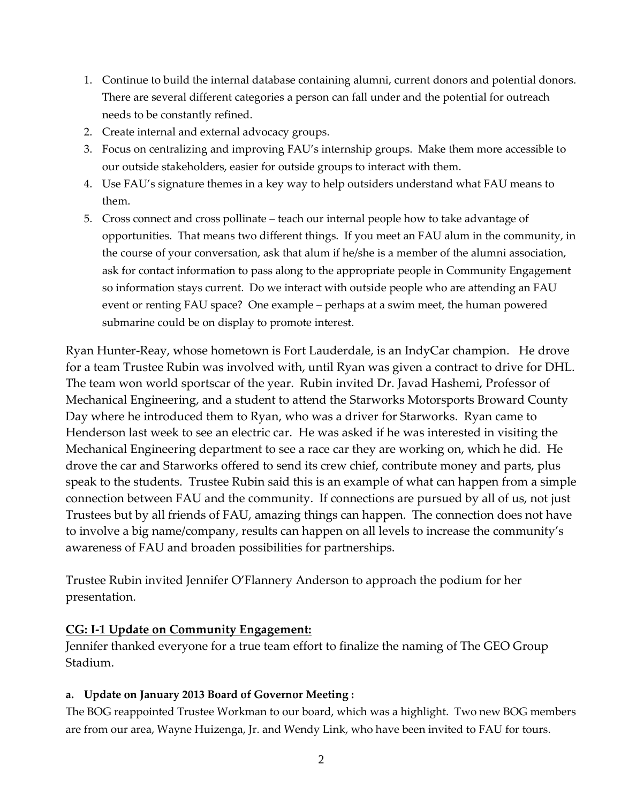- 1. Continue to build the internal database containing alumni, current donors and potential donors. There are several different categories a person can fall under and the potential for outreach needs to be constantly refined.
- 2. Create internal and external advocacy groups.
- 3. Focus on centralizing and improving FAU's internship groups. Make them more accessible to our outside stakeholders, easier for outside groups to interact with them.
- 4. Use FAU's signature themes in a key way to help outsiders understand what FAU means to them.
- 5. Cross connect and cross pollinate teach our internal people how to take advantage of opportunities. That means two different things. If you meet an FAU alum in the community, in the course of your conversation, ask that alum if he/she is a member of the alumni association, ask for contact information to pass along to the appropriate people in Community Engagement so information stays current. Do we interact with outside people who are attending an FAU event or renting FAU space? One example – perhaps at a swim meet, the human powered submarine could be on display to promote interest.

Ryan Hunter-Reay, whose hometown is Fort Lauderdale, is an IndyCar champion. He drove for a team Trustee Rubin was involved with, until Ryan was given a contract to drive for DHL. The team won world sportscar of the year. Rubin invited Dr. Javad Hashemi, Professor of Mechanical Engineering, and a student to attend the Starworks Motorsports Broward County Day where he introduced them to Ryan, who was a driver for Starworks. Ryan came to Henderson last week to see an electric car. He was asked if he was interested in visiting the Mechanical Engineering department to see a race car they are working on, which he did. He drove the car and Starworks offered to send its crew chief, contribute money and parts, plus speak to the students. Trustee Rubin said this is an example of what can happen from a simple connection between FAU and the community. If connections are pursued by all of us, not just Trustees but by all friends of FAU, amazing things can happen. The connection does not have to involve a big name/company, results can happen on all levels to increase the community's awareness of FAU and broaden possibilities for partnerships.

Trustee Rubin invited Jennifer O'Flannery Anderson to approach the podium for her presentation.

#### **CG: I-1 Update on Community Engagement:**

Jennifer thanked everyone for a true team effort to finalize the naming of The GEO Group Stadium.

#### **a. Update on January 2013 Board of Governor Meeting :**

The BOG reappointed Trustee Workman to our board, which was a highlight. Two new BOG members are from our area, Wayne Huizenga, Jr. and Wendy Link, who have been invited to FAU for tours.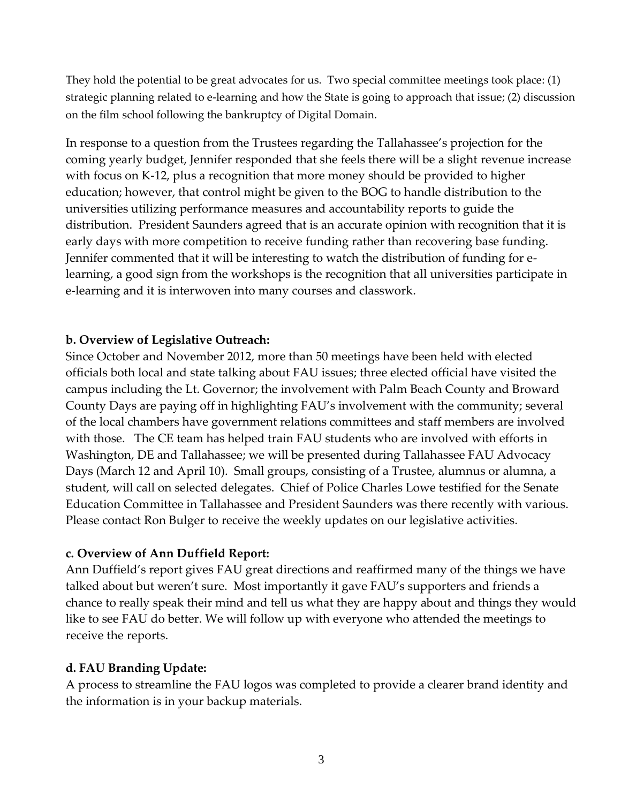They hold the potential to be great advocates for us. Two special committee meetings took place: (1) strategic planning related to e-learning and how the State is going to approach that issue; (2) discussion on the film school following the bankruptcy of Digital Domain.

In response to a question from the Trustees regarding the Tallahassee's projection for the coming yearly budget, Jennifer responded that she feels there will be a slight revenue increase with focus on K-12, plus a recognition that more money should be provided to higher education; however, that control might be given to the BOG to handle distribution to the universities utilizing performance measures and accountability reports to guide the distribution. President Saunders agreed that is an accurate opinion with recognition that it is early days with more competition to receive funding rather than recovering base funding. Jennifer commented that it will be interesting to watch the distribution of funding for elearning, a good sign from the workshops is the recognition that all universities participate in e-learning and it is interwoven into many courses and classwork.

## **b. Overview of Legislative Outreach:**

Since October and November 2012, more than 50 meetings have been held with elected officials both local and state talking about FAU issues; three elected official have visited the campus including the Lt. Governor; the involvement with Palm Beach County and Broward County Days are paying off in highlighting FAU's involvement with the community; several of the local chambers have government relations committees and staff members are involved with those. The CE team has helped train FAU students who are involved with efforts in Washington, DE and Tallahassee; we will be presented during Tallahassee FAU Advocacy Days (March 12 and April 10). Small groups, consisting of a Trustee, alumnus or alumna, a student, will call on selected delegates. Chief of Police Charles Lowe testified for the Senate Education Committee in Tallahassee and President Saunders was there recently with various. Please contact Ron Bulger to receive the weekly updates on our legislative activities.

### **c. Overview of Ann Duffield Report:**

Ann Duffield's report gives FAU great directions and reaffirmed many of the things we have talked about but weren't sure. Most importantly it gave FAU's supporters and friends a chance to really speak their mind and tell us what they are happy about and things they would like to see FAU do better. We will follow up with everyone who attended the meetings to receive the reports.

## **d. FAU Branding Update:**

A process to streamline the FAU logos was completed to provide a clearer brand identity and the information is in your backup materials.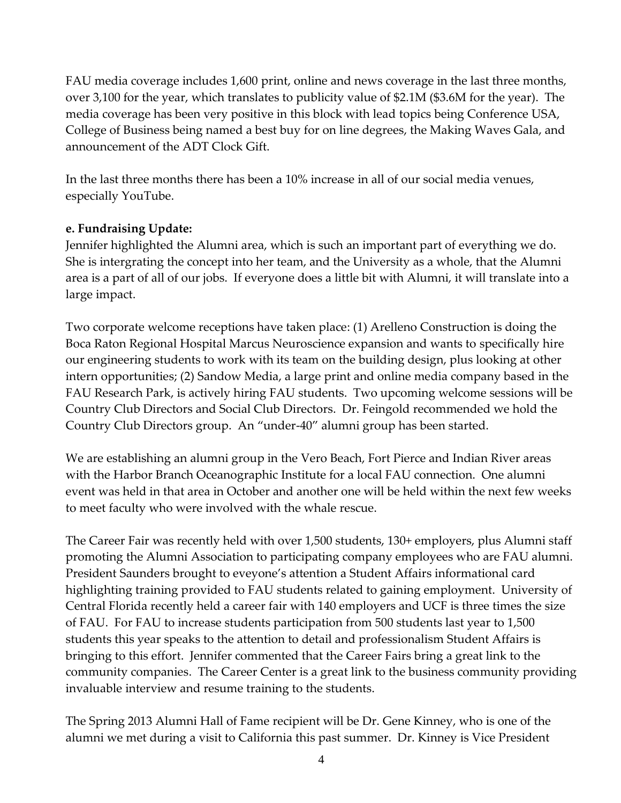FAU media coverage includes 1,600 print, online and news coverage in the last three months, over 3,100 for the year, which translates to publicity value of \$2.1M (\$3.6M for the year). The media coverage has been very positive in this block with lead topics being Conference USA, College of Business being named a best buy for on line degrees, the Making Waves Gala, and announcement of the ADT Clock Gift.

In the last three months there has been a 10% increase in all of our social media venues, especially YouTube.

## **e. Fundraising Update:**

Jennifer highlighted the Alumni area, which is such an important part of everything we do. She is intergrating the concept into her team, and the University as a whole, that the Alumni area is a part of all of our jobs. If everyone does a little bit with Alumni, it will translate into a large impact.

Two corporate welcome receptions have taken place: (1) Arelleno Construction is doing the Boca Raton Regional Hospital Marcus Neuroscience expansion and wants to specifically hire our engineering students to work with its team on the building design, plus looking at other intern opportunities; (2) Sandow Media, a large print and online media company based in the FAU Research Park, is actively hiring FAU students. Two upcoming welcome sessions will be Country Club Directors and Social Club Directors. Dr. Feingold recommended we hold the Country Club Directors group. An "under-40" alumni group has been started.

We are establishing an alumni group in the Vero Beach, Fort Pierce and Indian River areas with the Harbor Branch Oceanographic Institute for a local FAU connection. One alumni event was held in that area in October and another one will be held within the next few weeks to meet faculty who were involved with the whale rescue.

The Career Fair was recently held with over 1,500 students, 130+ employers, plus Alumni staff promoting the Alumni Association to participating company employees who are FAU alumni. President Saunders brought to eveyone's attention a Student Affairs informational card highlighting training provided to FAU students related to gaining employment. University of Central Florida recently held a career fair with 140 employers and UCF is three times the size of FAU. For FAU to increase students participation from 500 students last year to 1,500 students this year speaks to the attention to detail and professionalism Student Affairs is bringing to this effort. Jennifer commented that the Career Fairs bring a great link to the community companies. The Career Center is a great link to the business community providing invaluable interview and resume training to the students.

The Spring 2013 Alumni Hall of Fame recipient will be Dr. Gene Kinney, who is one of the alumni we met during a visit to California this past summer. Dr. Kinney is Vice President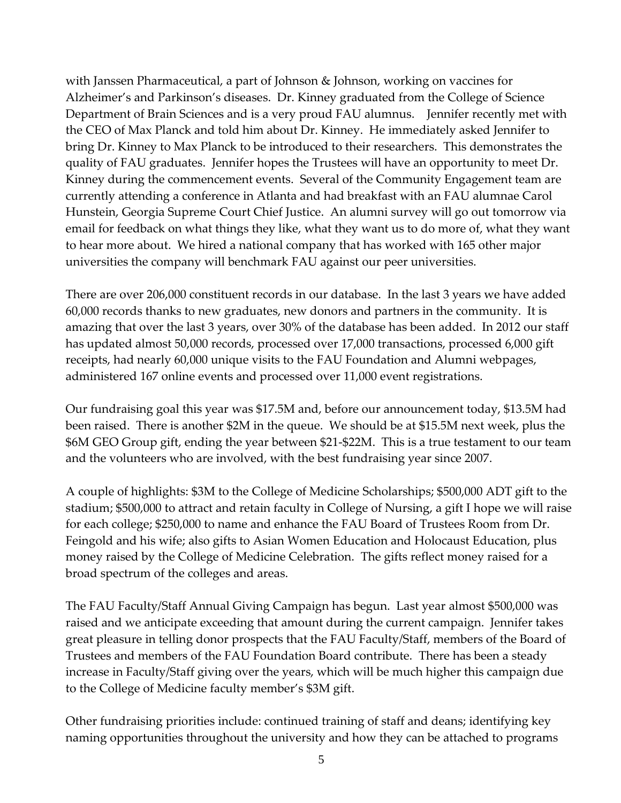with Janssen Pharmaceutical, a part of Johnson & Johnson, working on vaccines for Alzheimer's and Parkinson's diseases. Dr. Kinney graduated from the College of Science Department of Brain Sciences and is a very proud FAU alumnus. Jennifer recently met with the CEO of Max Planck and told him about Dr. Kinney. He immediately asked Jennifer to bring Dr. Kinney to Max Planck to be introduced to their researchers. This demonstrates the quality of FAU graduates. Jennifer hopes the Trustees will have an opportunity to meet Dr. Kinney during the commencement events. Several of the Community Engagement team are currently attending a conference in Atlanta and had breakfast with an FAU alumnae Carol Hunstein, Georgia Supreme Court Chief Justice. An alumni survey will go out tomorrow via email for feedback on what things they like, what they want us to do more of, what they want to hear more about. We hired a national company that has worked with 165 other major universities the company will benchmark FAU against our peer universities.

There are over 206,000 constituent records in our database. In the last 3 years we have added 60,000 records thanks to new graduates, new donors and partners in the community. It is amazing that over the last 3 years, over 30% of the database has been added. In 2012 our staff has updated almost 50,000 records, processed over 17,000 transactions, processed 6,000 gift receipts, had nearly 60,000 unique visits to the FAU Foundation and Alumni webpages, administered 167 online events and processed over 11,000 event registrations.

Our fundraising goal this year was \$17.5M and, before our announcement today, \$13.5M had been raised. There is another \$2M in the queue. We should be at \$15.5M next week, plus the \$6M GEO Group gift, ending the year between \$21-\$22M. This is a true testament to our team and the volunteers who are involved, with the best fundraising year since 2007.

A couple of highlights: \$3M to the College of Medicine Scholarships; \$500,000 ADT gift to the stadium; \$500,000 to attract and retain faculty in College of Nursing, a gift I hope we will raise for each college; \$250,000 to name and enhance the FAU Board of Trustees Room from Dr. Feingold and his wife; also gifts to Asian Women Education and Holocaust Education, plus money raised by the College of Medicine Celebration. The gifts reflect money raised for a broad spectrum of the colleges and areas.

The FAU Faculty/Staff Annual Giving Campaign has begun. Last year almost \$500,000 was raised and we anticipate exceeding that amount during the current campaign. Jennifer takes great pleasure in telling donor prospects that the FAU Faculty/Staff, members of the Board of Trustees and members of the FAU Foundation Board contribute. There has been a steady increase in Faculty/Staff giving over the years, which will be much higher this campaign due to the College of Medicine faculty member's \$3M gift.

Other fundraising priorities include: continued training of staff and deans; identifying key naming opportunities throughout the university and how they can be attached to programs